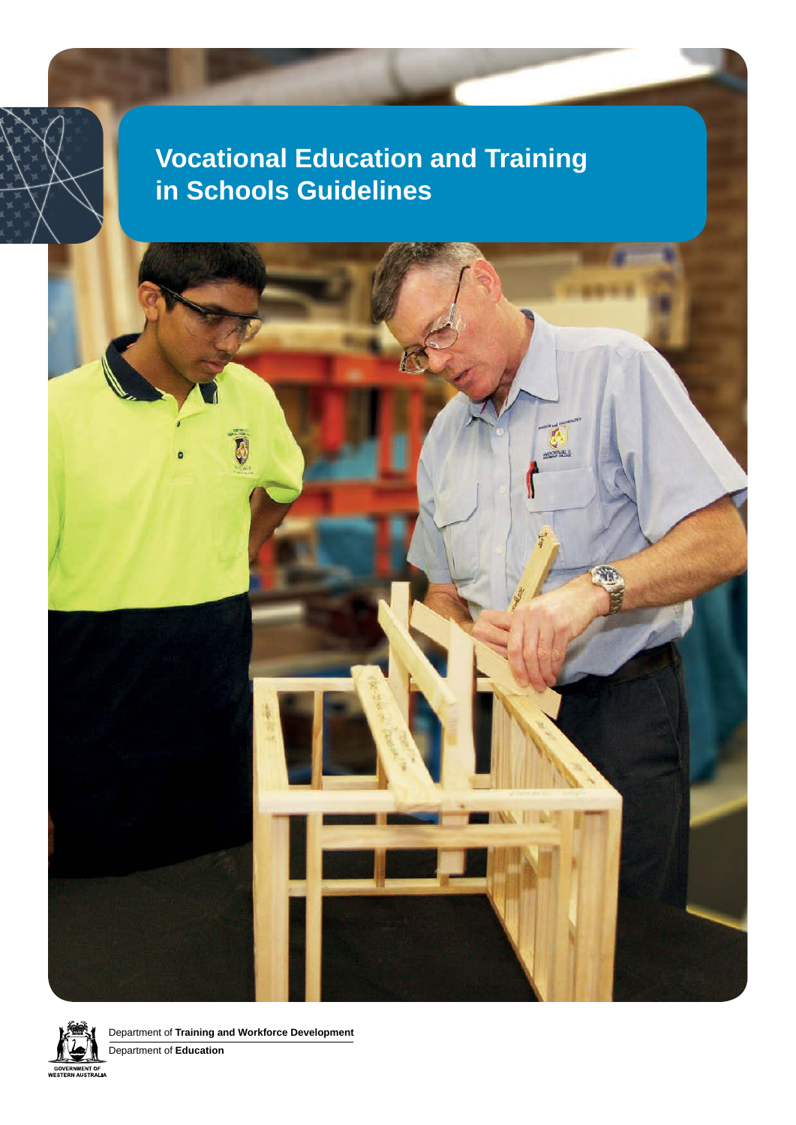# **Vocational Education and Training in Schools Guidelines**

WOODVALE



Department of **Training and Workforce Development**

D

Department of **Education**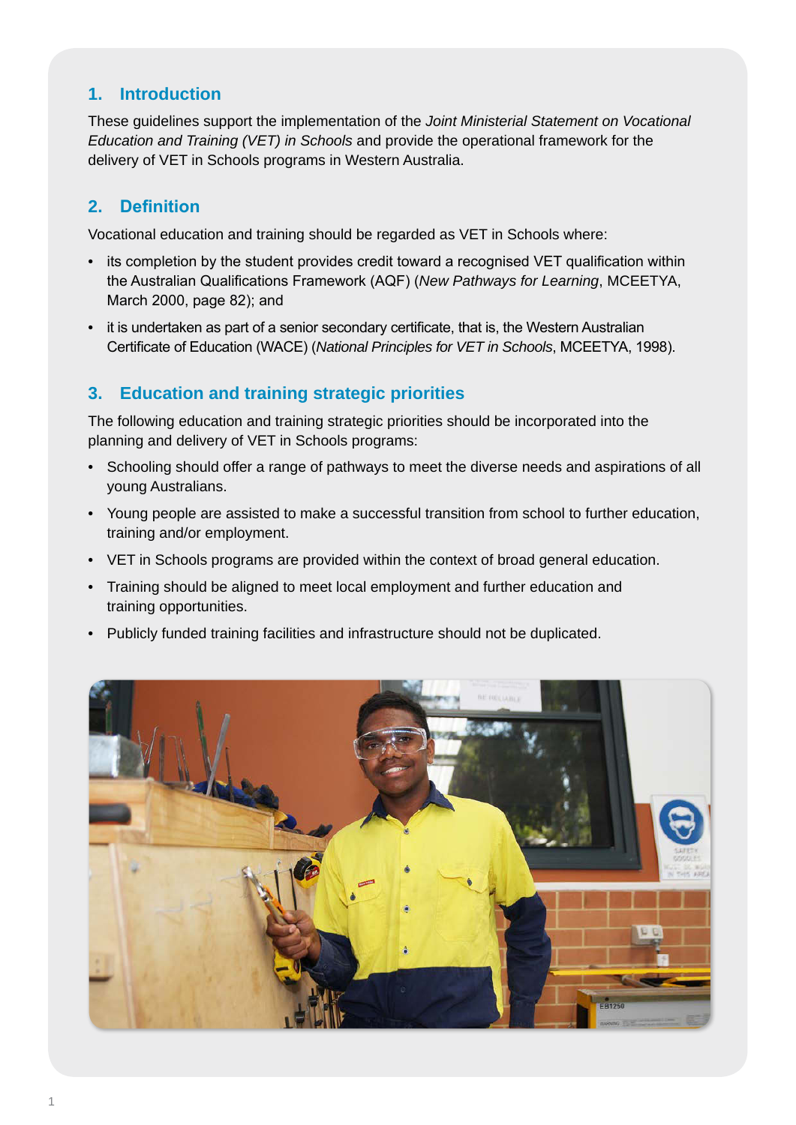# **1. Introduction**

These guidelines support the implementation of the *Joint Ministerial Statement on Vocational Education and Training (VET) in Schools* and provide the operational framework for the delivery of VET in Schools programs in Western Australia.

# **2. Definition**

Vocational education and training should be regarded as VET in Schools where:

- its completion by the student provides credit toward a recognised VET qualification within the Australian Qualifications Framework (AQF) (*New Pathways for Learning*, MCEETYA, March 2000, page 82); and
- it is undertaken as part of a senior secondary certificate, that is, the Western Australian Certificate of Education (WACE) (*National Principles for VET in Schools*, MCEETYA, 1998).

# **3. Education and training strategic priorities**

The following education and training strategic priorities should be incorporated into the planning and delivery of VET in Schools programs:

- Schooling should offer a range of pathways to meet the diverse needs and aspirations of all young Australians.
- Young people are assisted to make a successful transition from school to further education, training and/or employment.
- VET in Schools programs are provided within the context of broad general education.
- Training should be aligned to meet local employment and further education and training opportunities.
- Publicly funded training facilities and infrastructure should not be duplicated.

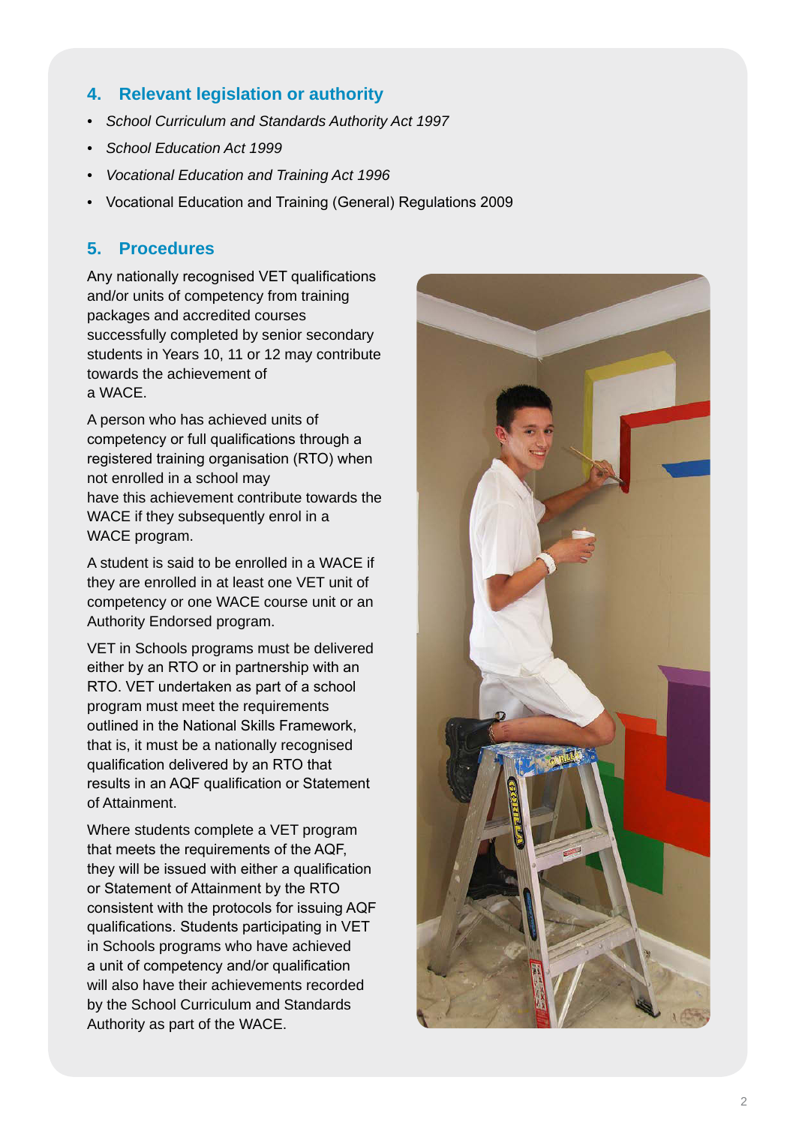# **4. Relevant legislation or authority**

- *• School Curriculum and Standards Authority Act 1997*
- *• School Education Act 1999*
- *• Vocational Education and Training Act 1996*
- Vocational Education and Training (General) Regulations 2009

# **5. Procedures**

Any nationally recognised VET qualifications and/or units of competency from training packages and accredited courses successfully completed by senior secondary students in Years 10, 11 or 12 may contribute towards the achievement of a WACE.

A person who has achieved units of competency or full qualifications through a registered training organisation (RTO) when not enrolled in a school may have this achievement contribute towards the WACE if they subsequently enrol in a WACE program.

A student is said to be enrolled in a WACE if they are enrolled in at least one VET unit of competency or one WACE course unit or an Authority Endorsed program.

VET in Schools programs must be delivered either by an RTO or in partnership with an RTO. VET undertaken as part of a school program must meet the requirements outlined in the National Skills Framework, that is, it must be a nationally recognised qualification delivered by an RTO that results in an AQF qualification or Statement of Attainment.

Where students complete a VET program that meets the requirements of the AQF, they will be issued with either a qualification or Statement of Attainment by the RTO consistent with the protocols for issuing AQF qualifications. Students participating in VET in Schools programs who have achieved a unit of competency and/or qualification will also have their achievements recorded by the School Curriculum and Standards Authority as part of the WACE.

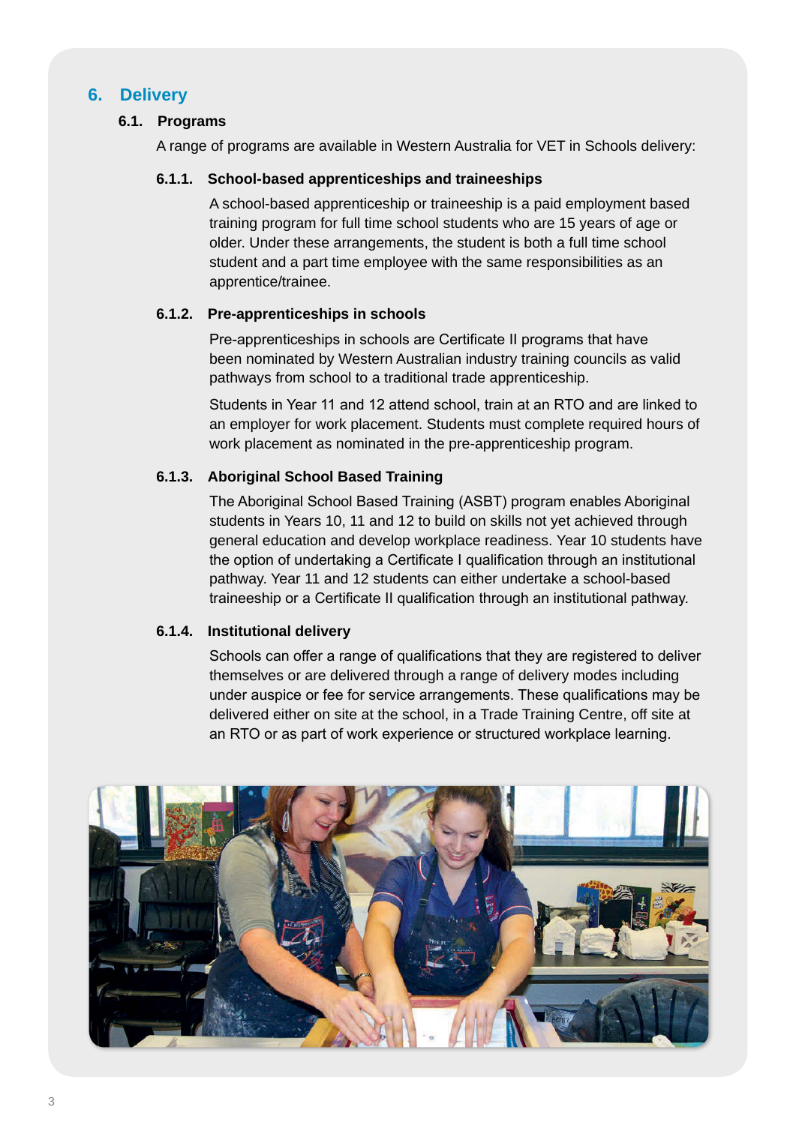# **6. Delivery**

## **6.1. Programs**

A range of programs are available in Western Australia for VET in Schools delivery:

#### **6.1.1. School-based apprenticeships and traineeships**

A school-based apprenticeship or traineeship is a paid employment based training program for full time school students who are 15 years of age or older. Under these arrangements, the student is both a full time school student and a part time employee with the same responsibilities as an apprentice/trainee.

## **6.1.2. Pre-apprenticeships in schools**

Pre-apprenticeships in schools are Certificate II programs that have been nominated by Western Australian industry training councils as valid pathways from school to a traditional trade apprenticeship.

Students in Year 11 and 12 attend school, train at an RTO and are linked to an employer for work placement. Students must complete required hours of work placement as nominated in the pre-apprenticeship program.

## **6.1.3. Aboriginal School Based Training**

The Aboriginal School Based Training (ASBT) program enables Aboriginal students in Years 10, 11 and 12 to build on skills not yet achieved through general education and develop workplace readiness. Year 10 students have the option of undertaking a Certificate I qualification through an institutional pathway. Year 11 and 12 students can either undertake a school-based traineeship or a Certificate II qualification through an institutional pathway.

#### **6.1.4. Institutional delivery**

Schools can offer a range of qualifications that they are registered to deliver themselves or are delivered through a range of delivery modes including under auspice or fee for service arrangements. These qualifications may be delivered either on site at the school, in a Trade Training Centre, off site at an RTO or as part of work experience or structured workplace learning.

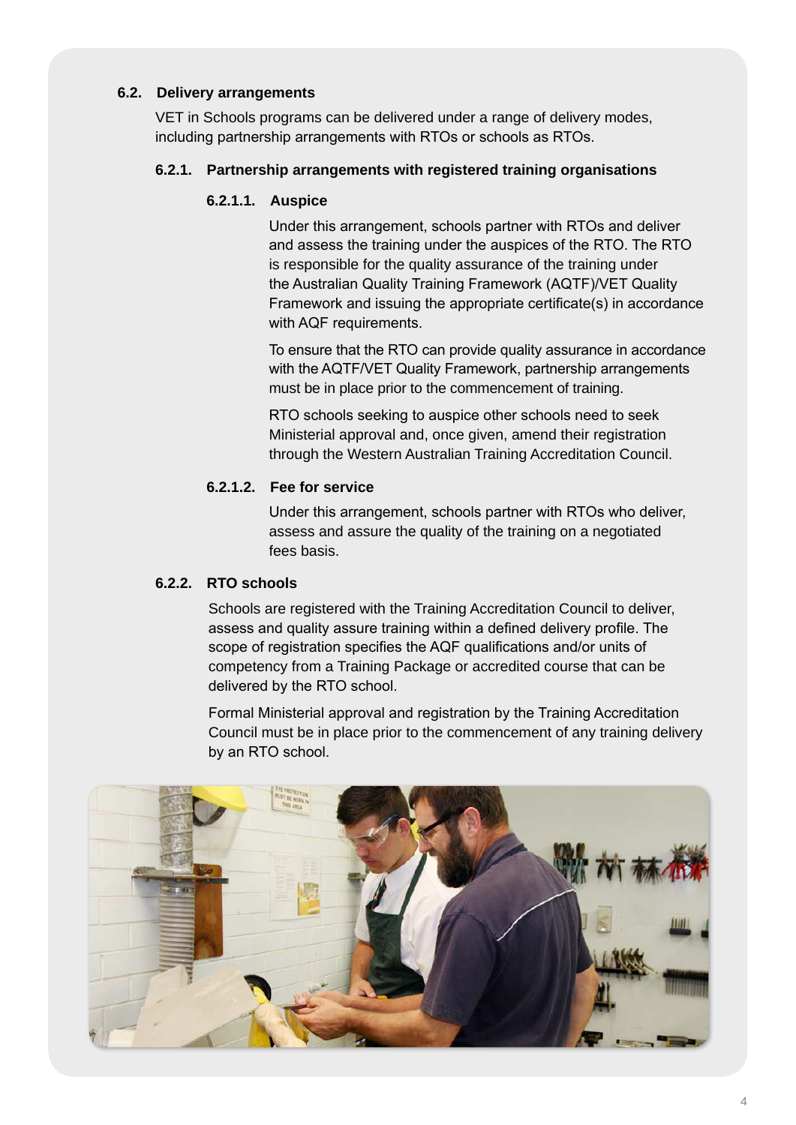# **6.2. Delivery arrangements**

VET in Schools programs can be delivered under a range of delivery modes, including partnership arrangements with RTOs or schools as RTOs.

## **6.2.1. Partnership arrangements with registered training organisations**

#### **6.2.1.1. Auspice**

Under this arrangement, schools partner with RTOs and deliver and assess the training under the auspices of the RTO. The RTO is responsible for the quality assurance of the training under the Australian Quality Training Framework (AQTF)/VET Quality Framework and issuing the appropriate certificate(s) in accordance with AQF requirements.

To ensure that the RTO can provide quality assurance in accordance with the AQTF/VET Quality Framework, partnership arrangements must be in place prior to the commencement of training.

RTO schools seeking to auspice other schools need to seek Ministerial approval and, once given, amend their registration through the Western Australian Training Accreditation Council.

# **6.2.1.2. Fee for service**

Under this arrangement, schools partner with RTOs who deliver, assess and assure the quality of the training on a negotiated fees basis.

## **6.2.2. RTO schools**

Schools are registered with the Training Accreditation Council to deliver, assess and quality assure training within a defined delivery profile. The scope of registration specifies the AQF qualifications and/or units of competency from a Training Package or accredited course that can be delivered by the RTO school.

Formal Ministerial approval and registration by the Training Accreditation Council must be in place prior to the commencement of any training delivery by an RTO school.

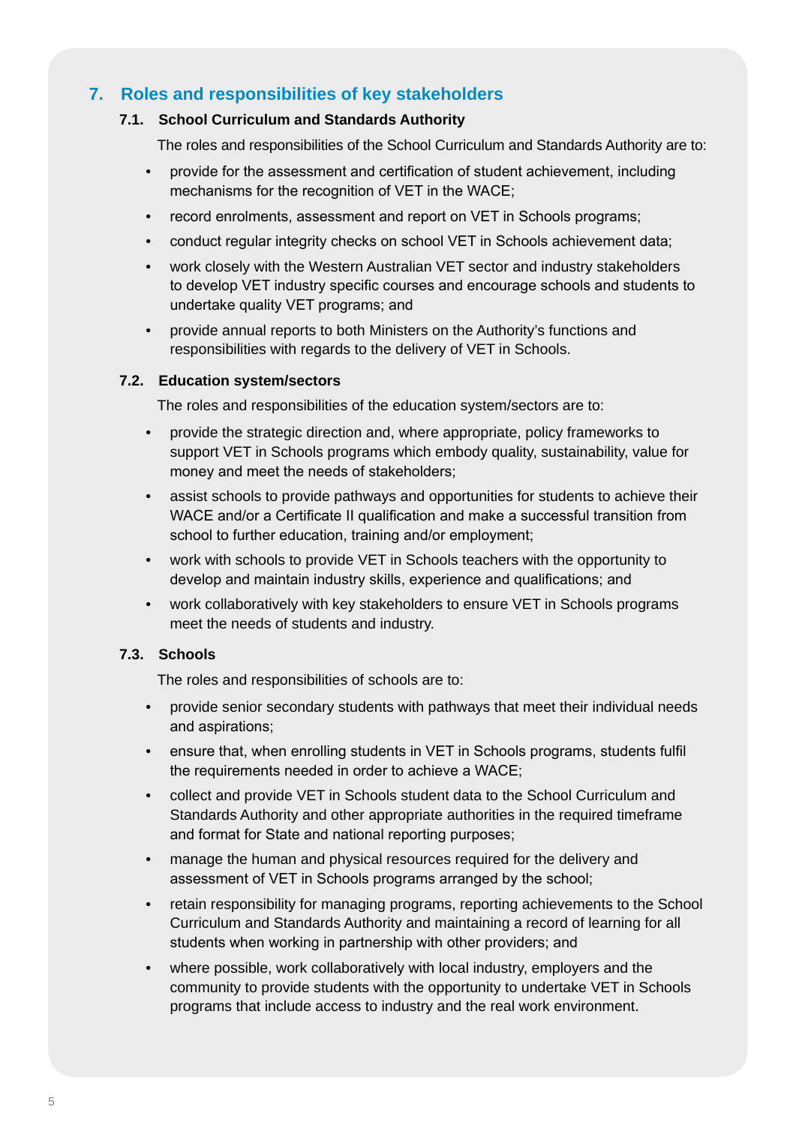# **7. Roles and responsibilities of key stakeholders**

#### **7.1. School Curriculum and Standards Authority**

The roles and responsibilities of the School Curriculum and Standards Authority are to:

- provide for the assessment and certification of student achievement, including mechanisms for the recognition of VET in the WACE;
- record enrolments, assessment and report on VET in Schools programs;
- conduct regular integrity checks on school VET in Schools achievement data;
- work closely with the Western Australian VET sector and industry stakeholders to develop VET industry specific courses and encourage schools and students to undertake quality VET programs; and
- provide annual reports to both Ministers on the Authority's functions and responsibilities with regards to the delivery of VET in Schools.

#### **7.2. Education system/sectors**

The roles and responsibilities of the education system/sectors are to:

- provide the strategic direction and, where appropriate, policy frameworks to support VET in Schools programs which embody quality, sustainability, value for money and meet the needs of stakeholders;
- assist schools to provide pathways and opportunities for students to achieve their WACE and/or a Certificate II qualification and make a successful transition from school to further education, training and/or employment;
- work with schools to provide VET in Schools teachers with the opportunity to develop and maintain industry skills, experience and qualifications; and
- work collaboratively with key stakeholders to ensure VET in Schools programs meet the needs of students and industry.

#### **7.3. Schools**

The roles and responsibilities of schools are to:

- provide senior secondary students with pathways that meet their individual needs and aspirations;
- ensure that, when enrolling students in VET in Schools programs, students fulfil the requirements needed in order to achieve a WACE;
- collect and provide VET in Schools student data to the School Curriculum and Standards Authority and other appropriate authorities in the required timeframe and format for State and national reporting purposes;
- manage the human and physical resources required for the delivery and assessment of VET in Schools programs arranged by the school;
- retain responsibility for managing programs, reporting achievements to the School Curriculum and Standards Authority and maintaining a record of learning for all students when working in partnership with other providers; and
- where possible, work collaboratively with local industry, employers and the community to provide students with the opportunity to undertake VET in Schools programs that include access to industry and the real work environment.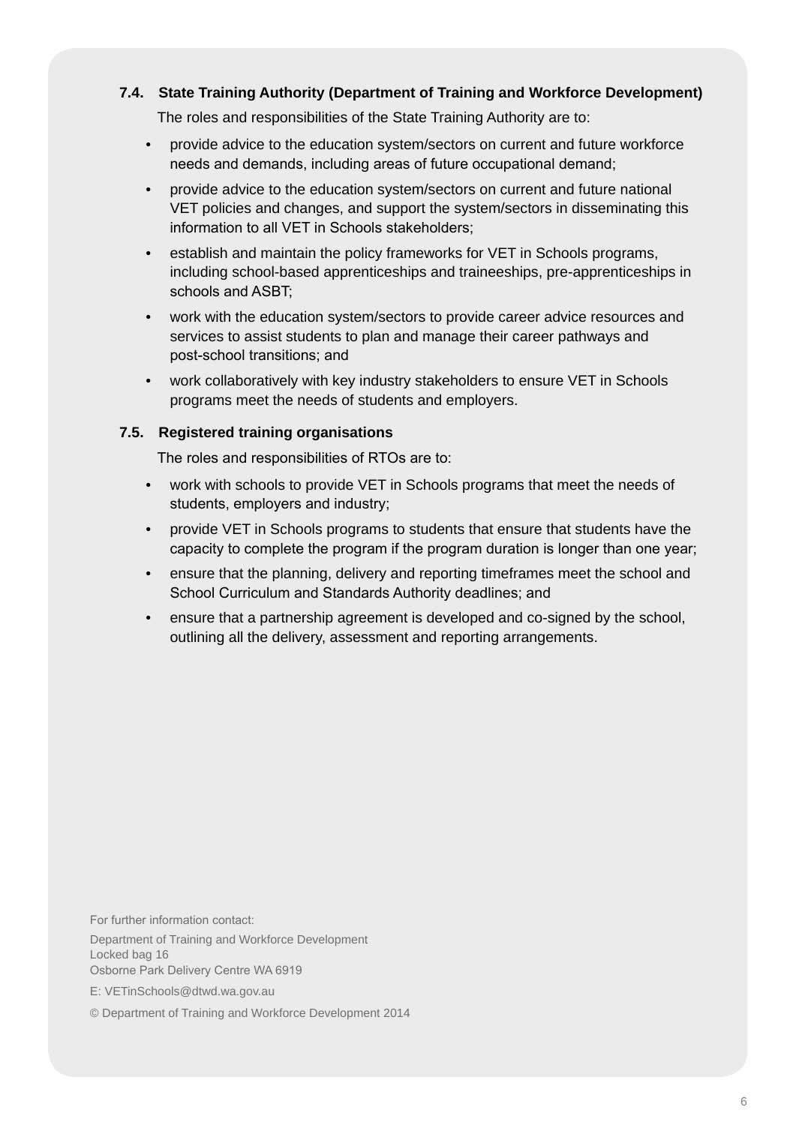### **7.4. State Training Authority (Department of Training and Workforce Development)**

The roles and responsibilities of the State Training Authority are to:

- provide advice to the education system/sectors on current and future workforce needs and demands, including areas of future occupational demand;
- provide advice to the education system/sectors on current and future national VET policies and changes, and support the system/sectors in disseminating this information to all VET in Schools stakeholders;
- establish and maintain the policy frameworks for VET in Schools programs, including school-based apprenticeships and traineeships, pre-apprenticeships in schools and ASBT;
- work with the education system/sectors to provide career advice resources and services to assist students to plan and manage their career pathways and post-school transitions; and
- work collaboratively with key industry stakeholders to ensure VET in Schools programs meet the needs of students and employers.

#### **7.5. Registered training organisations**

The roles and responsibilities of RTOs are to:

- work with schools to provide VET in Schools programs that meet the needs of students, employers and industry;
- provide VET in Schools programs to students that ensure that students have the capacity to complete the program if the program duration is longer than one year;
- ensure that the planning, delivery and reporting timeframes meet the school and School Curriculum and Standards Authority deadlines; and
- ensure that a partnership agreement is developed and co-signed by the school, outlining all the delivery, assessment and reporting arrangements.

For further information contact: Department of Training and Workforce Development Locked bag 16 Osborne Park Delivery Centre WA 6919

E: VETinSchools@dtwd.wa.gov.au

© Department of Training and Workforce Development 2014